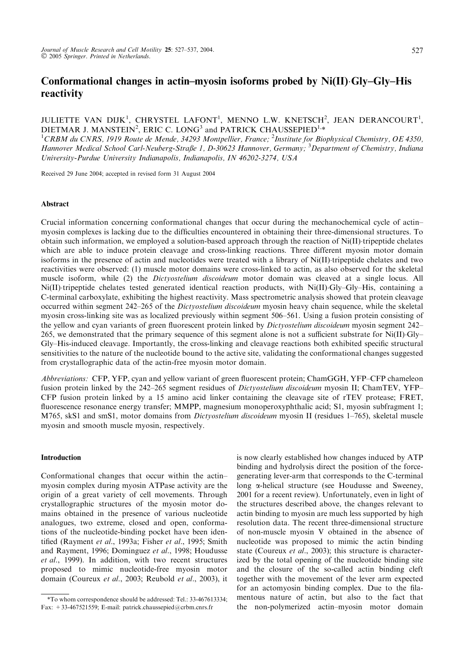# Conformational changes in actin–myosin isoforms probed by  $Ni(II)$  Gly–Gly–His reactivity

# JULIETTE VAN DIJK<sup>1</sup>, CHRYSTEL LAFONT<sup>1</sup>, MENNO L.W. KNETSCH<sup>2</sup>, JEAN DERANCOURT<sup>1</sup>, DIETMAR J. MANSTEIN<sup>2</sup>, ERIC C. LONG<sup>3</sup> and PATRICK CHAUSSEPIED<sup>1,\*</sup><br><sup>1</sup>CRRM dy CNRS, 1010 Route de Mende, 34203 Montpellier, France: <sup>2</sup>Institute for Ric

CRBM du CNRS, 1919 Route de Mende, 34293 Montpellier, France; <sup>2</sup>Institute for Biophysical Chemistry, OE 4350, Hannover Medical School Carl-Neuberg-Straße 1, D-30623 Hannover, Germany; <sup>3</sup>Department of Chemistry, Indiana University-Purdue University Indianapolis, Indianapolis, IN 46202-3274, USA

Received 29 June 2004; accepted in revised form 31 August 2004

## Abstract

Crucial information concerning conformational changes that occur during the mechanochemical cycle of actin– myosin complexes is lacking due to the difficulties encountered in obtaining their three-dimensional structures. To obtain such information, we employed a solution-based approach through the reaction of  $Ni(II)$  tripeptide chelates which are able to induce protein cleavage and cross-linking reactions. Three different myosin motor domain isoforms in the presence of actin and nucleotides were treated with a library of  $Ni(II)$  tripeptide chelates and two reactivities were observed: (1) muscle motor domains were cross-linked to actin, as also observed for the skeletal muscle isoform, while (2) the *Dictyostelium discoideum* motor domain was cleaved at a single locus. All Ni(II) tripeptide chelates tested generated identical reaction products, with Ni(II) Gly–Gly–His, containing a C-terminal carboxylate, exhibiting the highest reactivity. Mass spectrometric analysis showed that protein cleavage occurred within segment 242–265 of the Dictyostelium discoideum myosin heavy chain sequence, while the skeletal myosin cross-linking site was as localized previously within segment 506–561. Using a fusion protein consisting of the yellow and cyan variants of green fluorescent protein linked by Dictyostelium discoideum myosin segment 242– 265, we demonstrated that the primary sequence of this segment alone is not a sufficient substrate for  $Ni(II)$  Gly– Gly–His-induced cleavage. Importantly, the cross-linking and cleavage reactions both exhibited specific structural sensitivities to the nature of the nucleotide bound to the active site, validating the conformational changes suggested from crystallographic data of the actin-free myosin motor domain.

Abbreviations: CFP, YFP, cyan and yellow variant of green fluorescent protein; ChamGGH, YFP–CFP chameleon fusion protein linked by the 242-265 segment residues of Dictyostelium discoideum myosin II; ChamTEV, YFP-CFP fusion protein linked by a 15 amino acid linker containing the cleavage site of rTEV protease; FRET, fluorescence resonance energy transfer; MMPP, magnesium monoperoxyphthalic acid; S1, myosin subfragment 1; M765, skS1 and smS1, motor domains from Dictyostelium discoideum myosin II (residues 1–765), skeletal muscle myosin and smooth muscle myosin, respectively.

## Introduction

Conformational changes that occur within the actin– myosin complex during myosin ATPase activity are the origin of a great variety of cell movements. Through crystallographic structures of the myosin motor domains obtained in the presence of various nucleotide analogues, two extreme, closed and open, conformations of the nucleotide-binding pocket have been identified (Rayment et al., 1993a; Fisher et al., 1995; Smith and Rayment, 1996; Dominguez et al., 1998; Houdusse et al., 1999). In addition, with two recent structures proposed to mimic nucleotide-free myosin motor domain (Coureux et al., 2003; Reubold et al., 2003), it is now clearly established how changes induced by ATP binding and hydrolysis direct the position of the forcegenerating lever-arm that corresponds to the C-terminal long a-helical structure (see Houdusse and Sweeney, 2001 for a recent review). Unfortunately, even in light of the structures described above, the changes relevant to actin binding to myosin are much less supported by high resolution data. The recent three-dimensional structure of non-muscle myosin V obtained in the absence of nucleotide was proposed to mimic the actin binding state (Coureux et al., 2003); this structure is characterized by the total opening of the nucleotide binding site and the closure of the so-called actin binding cleft together with the movement of the lever arm expected for an actomyosin binding complex. Due to the filamentous nature of actin, but also to the fact that the non-polymerized actin–myosin motor domain

<sup>\*</sup>To whom correspondence should be addressed: Tel.: 33-467613334; Fax: +33-467521559; E-mail: patrick.chaussepied@crbm.cnrs.fr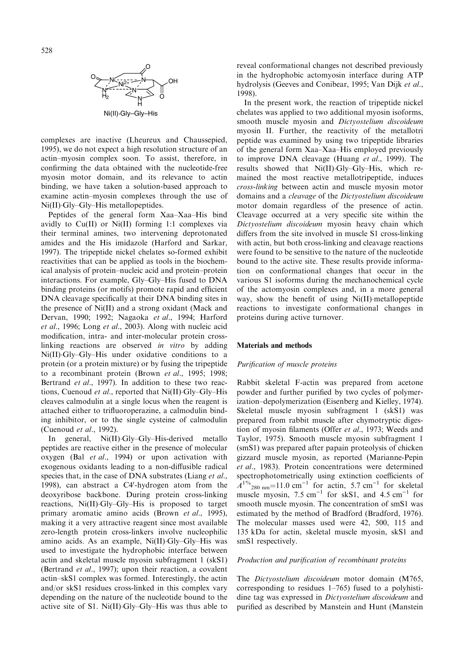

complexes are inactive (Lheureux and Chaussepied, 1995), we do not expect a high resolution structure of an actin–myosin complex soon. To assist, therefore, in confirming the data obtained with the nucleotide-free myosin motor domain, and its relevance to actin binding, we have taken a solution-based approach to examine actin–myosin complexes through the use of  $Ni(II)$  $·$ Gly–Gly–His metallopeptides.

Peptides of the general form Xaa–Xaa–His bind avidly to Cu(II) or Ni(II) forming 1:1 complexes via their terminal amines, two intervening deprotonated amides and the His imidazole (Harford and Sarkar, 1997). The tripeptide nickel chelates so-formed exhibit reactivities that can be applied as tools in the biochemical analysis of protein–nucleic acid and protein–protein interactions. For example, Gly–Gly–His fused to DNA binding proteins (or motifs) promote rapid and efficient DNA cleavage specifically at their DNA binding sites in the presence of Ni(II) and a strong oxidant (Mack and Dervan, 1990; 1992; Nagaoka et al., 1994; Harford et al., 1996; Long et al., 2003). Along with nucleic acid modification, intra- and inter-molecular protein crosslinking reactions are observed in vitro by adding  $Ni(II)$  $Gly-Gly-His$  under oxidative conditions to a protein (or a protein mixture) or by fusing the tripeptide to a recombinant protein (Brown et al., 1995; 1998; Bertrand *et al.*, 1997). In addition to these two reactions, Cuenoud *et al.*, reported that  $Ni(II)$  Gly–Gly–His cleaves calmodulin at a single locus when the reagent is attached either to trifluoroperazine, a calmodulin binding inhibitor, or to the single cysteine of calmodulin (Cuenoud et al., 1992).

In general, Ni(II)·Gly-Gly-His-derived metallo peptides are reactive either in the presence of molecular oxygen (Bal et al., 1994) or upon activation with exogenous oxidants leading to a non-diffusible radical species that, in the case of DNA substrates (Liang et al., 1998), can abstract a C4'-hydrogen atom from the deoxyribose backbone. During protein cross-linking reactions,  $Ni(II)$  Gly–Gly–His is proposed to target primary aromatic amino acids (Brown et al., 1995), making it a very attractive reagent since most available zero-length protein cross-linkers involve nucleophilic amino acids. As an example, Ni(II)·Gly-Gly-His was used to investigate the hydrophobic interface between actin and skeletal muscle myosin subfragment 1 (skS1) (Bertrand et al., 1997); upon their reaction, a covalent actin–skS1 complex was formed. Interestingly, the actin and/or skS1 residues cross-linked in this complex vary depending on the nature of the nucleotide bound to the active site of S1. Ni(II) $-Gly$ – $Gly$ –His was thus able to

reveal conformational changes not described previously in the hydrophobic actomyosin interface during ATP hydrolysis (Geeves and Conibear, 1995; Van Dijk et al., 1998).

In the present work, the reaction of tripeptide nickel chelates was applied to two additional myosin isoforms, smooth muscle myosin and Dictyostelium discoideum myosin II. Further, the reactivity of the metallotri peptide was examined by using two tripeptide libraries of the general form Xaa–Xaa–His employed previously to improve DNA cleavage (Huang et al., 1999). The results showed that  $Ni(II)$  Gly–Gly–His, which remained the most reactive metallotripeptide, induces cross-linking between actin and muscle myosin motor domains and a cleavage of the Dictyostelium discoideum motor domain regardless of the presence of actin. Cleavage occurred at a very specific site within the Dictyostelium discoideum myosin heavy chain which differs from the site involved in muscle S1 cross-linking with actin, but both cross-linking and cleavage reactions were found to be sensitive to the nature of the nucleotide bound to the active site. These results provide information on conformational changes that occur in the various S1 isoforms during the mechanochemical cycle of the actomyosin complexes and, in a more general way, show the benefit of using  $Ni(II)$  metallopeptide reactions to investigate conformational changes in proteins during active turnover.

## Materials and methods

#### Purification of muscle proteins

Rabbit skeletal F-actin was prepared from acetone powder and further purified by two cycles of polymerization–depolymerization (Eisenberg and Kielley, 1974). Skeletal muscle myosin subfragment 1 (skS1) was prepared from rabbit muscle after chymotryptic digestion of myosin filaments (Offer et al., 1973; Weeds and Taylor, 1975). Smooth muscle myosin subfragment 1 (smS1) was prepared after papain proteolysis of chicken gizzard muscle myosin, as reported (Marianne-Pepin et al., 1983). Protein concentrations were determined spectrophotometrically using extinction coefficients of  $A^{1\%}$ <sub>280 nm</sub>=11.0 cm<sup>-1</sup> for actin, 5.7 cm<sup>-1</sup> for skeletal muscle myosin,  $7.5 \text{ cm}^{-1}$  for skS1, and  $4.5 \text{ cm}^{-1}$  for smooth muscle myosin. The concentration of smS1 was estimated by the method of Bradford (Bradford, 1976). The molecular masses used were 42, 500, 115 and 135 kDa for actin, skeletal muscle myosin, skS1 and smS1 respectively.

### Production and purification of recombinant proteins

The Dictyostelium discoideum motor domain (M765, corresponding to residues 1–765) fused to a polyhistidine tag was expressed in Dictyostelium discoideum and purified as described by Manstein and Hunt (Manstein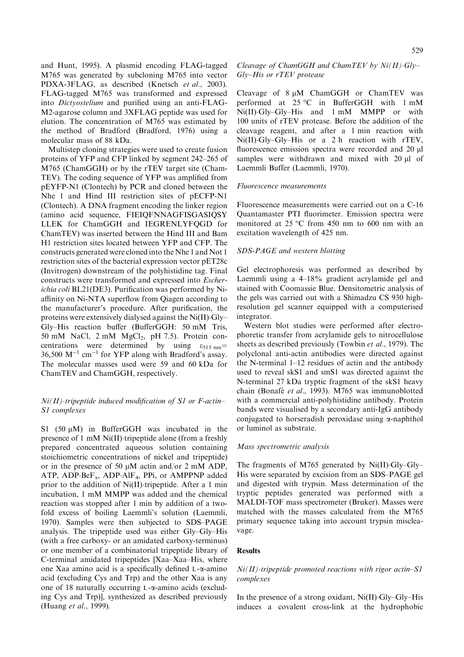and Hunt, 1995). A plasmid encoding FLAG-tagged M765 was generated by subcloning M765 into vector PDXA-3FLAG, as described (Knetsch et al., 2003). FLAG-tagged M765 was transformed and expressed into Dictyostelium and purified using an anti-FLAG-M2-agarose column and 3XFLAG peptide was used for elution. The concentration of M765 was estimated by the method of Bradford (Bradford, 1976) using a molecular mass of 88 kDa.

Multistep cloning strategies were used to create fusion proteins of YFP and CFP linked by segment 242–265 of M765 (ChamGGH) or by the rTEV target site (Cham-TEV). The coding sequence of YFP was amplified from pEYFP-N1 (Clontech) by PCR and cloned between the Nhe 1 and Hind III restriction sites of pECFP-N1 (Clontech). A DNA fragment encoding the linker region (amino acid sequence, FIEIQFNNAGFISGASIQSY LLEK for ChamGGH and IEGRENLYFQGD for ChamTEV) was inserted between the Hind III and Bam H1 restriction sites located between YFP and CFP. The constructs generated were cloned into the Nhe 1 and Not 1 restriction sites of the bacterial expression vector pET28c (Invitrogen) downstream of the polyhistidine tag. Final constructs were transformed and expressed into Escherichia coli BL21(DE3). Purification was performed by Niaffinity on Ni-NTA superflow from Qiagen according to the manufacturer's procedure. After purification, the proteins were extensively dialysed against the  $Ni(II) \cdot Glv-$ Gly–His reaction buffer (BufferGGH: 50 mM Tris, 50 mM NaCl, 2 mM MgCl<sub>2</sub>, pH 7.5). Protein concentrations were determined by using  $\varepsilon_{513 \text{ nm}}$ =  $36,500$  M<sup>-1</sup> cm<sup>-1</sup> for YFP along with Bradford's assay. The molecular masses used were 59 and 60 kDa for ChamTEV and ChamGGH, respectively.

# $Ni(II)$  tripeptide induced modification of S1 or F-actin– S1 complexes

S1 (50  $\mu$ M) in BufferGGH was incubated in the presence of 1 mM  $Ni(II)$  tripeptide alone (from a freshly prepared concentrated aqueous solution containing stoichiometric concentrations of nickel and tripeptide) or in the presence of 50  $\mu$ M actin and/or 2 mM ADP, ATP, ADP $B \in F_x$ , ADP $AIF_4$ , PPi, or AMPPNP added prior to the addition of  $Ni(II)$  tripeptide. After a 1 min incubation, 1 mM MMPP was added and the chemical reaction was stopped after 1 min by addition of a twofold excess of boiling Laemmli's solution (Laemmli, 1970). Samples were then subjected to SDS–PAGE analysis. The tripeptide used was either Gly–Gly–His (with a free carboxy- or an amidated carboxy-terminus) or one member of a combinatorial tripeptide library of C-terminal amidated tripeptides [Xaa–Xaa–His, where one Xaa amino acid is a specifically defined  $L$ - $\alpha$ -amino acid (excluding Cys and Trp) and the other Xaa is any one of 18 naturally occurring  $L$ - $\alpha$ -amino acids (excluding Cys and Trp)], synthesized as described previously (Huang et al., 1999).

# Cleavage of ChamGGH and ChamTEV by  $Ni(II)$  $·$ Gly-Gly–His or rTEV protease

Cleavage of  $8 \mu M$  ChamGGH or ChamTEV was performed at  $25 \text{ °C}$  in BufferGGH with  $1 \text{ mM}$ Ni(II)·Gly–Gly–His and 1 mM MMPP or with 100 units of rTEV protease. Before the addition of the cleavage reagent, and after a 1 min reaction with Ni(II)·Gly-Gly-His or a 2 h reaction with rTEV, fluorescence emission spectra were recorded and 20 µl samples were withdrawn and mixed with  $20 \mu l$  of Laemmli Buffer (Laemmli, 1970).

## Fluorescence measurements

Fluorescence measurements were carried out on a C-16 Quantamaster PTI fluorimeter. Emission spectra were monitored at 25  $\degree$ C from 450 nm to 600 nm with an excitation wavelength of 425 nm.

## SDS-PAGE and western blotting

Gel electrophoresis was performed as described by Laemmli using a 4–18% gradient acrylamide gel and stained with Coomassie Blue. Densitometric analysis of the gels was carried out with a Shimadzu CS 930 highresolution gel scanner equipped with a computerised integrator.

Western blot studies were performed after electrophoretic transfer from acrylamide gels to nitrocellulose sheets as described previously (Towbin et al., 1979). The polyclonal anti-actin antibodies were directed against the N-terminal 1–12 residues of actin and the antibody used to reveal skS1 and smS1 was directed against the N-terminal 27 kDa tryptic fragment of the skS1 heavy chain (Bonafé et al., 1993). M765 was immunoblotted with a commercial anti-polyhistidine antibody. Protein bands were visualised by a secondary anti-IgG antibody conjugated to horseradish peroxidase using  $\alpha$ -naphthol or luminol as substrate.

#### Mass spectrometric analysis

The fragments of M765 generated by  $Ni(II)\cdot Gly-Gly-$ His were separated by excision from an SDS–PAGE gel and digested with trypsin. Mass determination of the tryptic peptides generated was performed with a MALDI-TOF mass spectrometer (Bruker). Masses were matched with the masses calculated from the M765 primary sequence taking into account trypsin miscleavage.

#### **Results**

## $Ni(II)$  tripeptide promoted reactions with rigor actin–S1 complexes

In the presence of a strong oxidant,  $Ni(II)$  $·$ Gly–Gly–His induces a covalent cross-link at the hydrophobic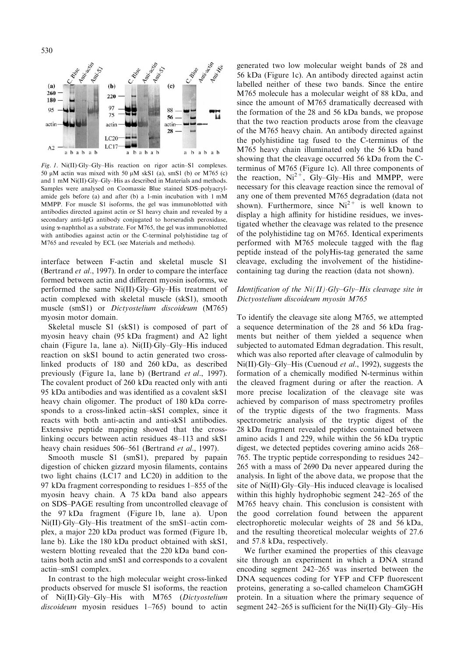

Fig. 1. Ni(II)·Gly-Gly-His reaction on rigor actin-S1 complexes. 50  $\mu$ M actin was mixed with 50  $\mu$ M skS1 (a), smS1 (b) or M765 (c) and 1 mM Ni(II)·Gly-Gly-His as described in Materials and methods. Samples were analysed on Coomassie Blue stained SDS–polyacrylamide gels before (a) and after (b) a 1-min incubation with 1 mM MMPP. For muscle S1 isoforms, the gel was immunoblotted with antibodies directed against actin or S1 heavy chain and revealed by a secondary anti-IgG antibody conjugated to horseradish peroxidase, using  $\alpha$ -naphthol as a substrate. For M765, the gel was immunoblotted with antibodies against actin or the C-terminal polyhistidine tag of M765 and revealed by ECL (see Materials and methods).

interface between F-actin and skeletal muscle S1 (Bertrand et al., 1997). In order to compare the interface formed between actin and different myosin isoforms, we performed the same  $Ni(II)$ ·Gly–Gly–His treatment of actin complexed with skeletal muscle (skS1), smooth muscle (smS1) or Dictyostelium discoideum (M765) myosin motor domain.

Skeletal muscle S1 (skS1) is composed of part of myosin heavy chain (95 kDa fragment) and A2 light chain (Figure 1a, lane a).  $Ni(II)$  Gly–Gly–His induced reaction on skS1 bound to actin generated two crosslinked products of 180 and 260 kDa, as described previously (Figure 1a, lane b) (Bertrand et al., 1997). The covalent product of 260 kDa reacted only with anti 95 kDa antibodies and was identified as a covalent skS1 heavy chain oligomer. The product of 180 kDa corresponds to a cross-linked actin–skS1 complex, since it reacts with both anti-actin and anti-skS1 antibodies. Extensive peptide mapping showed that the crosslinking occurs between actin residues 48–113 and skS1 heavy chain residues 506–561 (Bertrand et al., 1997).

Smooth muscle S1 (smS1), prepared by papain digestion of chicken gizzard myosin filaments, contains two light chains (LC17 and LC20) in addition to the 97 kDa fragment corresponding to residues 1–855 of the myosin heavy chain. A 75 kDa band also appears on SDS–PAGE resulting from uncontrolled cleavage of the 97 kDa fragment (Figure 1b, lane a). Upon  $Ni(II)$  $·$ Gly–Gly–His treatment of the smS1–actin complex, a major 220 kDa product was formed (Figure 1b, lane b). Like the 180 kDa product obtained with skS1, western blotting revealed that the 220 kDa band contains both actin and smS1 and corresponds to a covalent actin–smS1 complex.

In contrast to the high molecular weight cross-linked products observed for muscle S1 isoforms, the reaction of Ni(II)·Gly-Gly-His with M765 (Dictyostelium discoideum myosin residues 1–765) bound to actin

generated two low molecular weight bands of 28 and 56 kDa (Figure 1c). An antibody directed against actin labelled neither of these two bands. Since the entire M765 molecule has a molecular weight of 88 kDa, and since the amount of M765 dramatically decreased with the formation of the 28 and 56 kDa bands, we propose that the two reaction products arose from the cleavage of the M765 heavy chain. An antibody directed against the polyhistidine tag fused to the C-terminus of the M765 heavy chain illuminated only the 56 kDa band showing that the cleavage occurred 56 kDa from the Cterminus of M765 (Figure 1c). All three components of the reaction,  $Ni^{2+}$ , Gly-Gly-His and MMPP, were necessary for this cleavage reaction since the removal of any one of them prevented M765 degradation (data not shown). Furthermore, since  $Ni^{2+}$  is well known to display a high affinity for histidine residues, we investigated whether the cleavage was related to the presence of the polyhistidine tag on M765. Identical experiments performed with M765 molecule tagged with the flag peptide instead of the polyHis-tag generated the same cleavage, excluding the involvement of the histidinecontaining tag during the reaction (data not shown).

## Identification of the  $Ni(II)$ · $Gly$ - $Gly$ -His cleavage site in Dictyostelium discoideum myosin M765

To identify the cleavage site along M765, we attempted a sequence determination of the 28 and 56 kDa fragments but neither of them yielded a sequence when subjected to automated Edman degradation. This result, which was also reported after cleavage of calmodulin by  $Ni(II)$ ·Gly–Gly–His (Cuenoud *et al.*, 1992), suggests the formation of a chemically modified N-terminus within the cleaved fragment during or after the reaction. A more precise localization of the cleavage site was achieved by comparison of mass spectrometry profiles of the tryptic digests of the two fragments. Mass spectrometric analysis of the tryptic digest of the 28 kDa fragment revealed peptides contained between amino acids 1 and 229, while within the 56 kDa tryptic digest, we detected peptides covering amino acids 268– 765. The tryptic peptide corresponding to residues 242– 265 with a mass of 2690 Da never appeared during the analysis. In light of the above data, we propose that the site of  $Ni(II)$  Gly–Gly–His induced cleavage is localised within this highly hydrophobic segment 242–265 of the M765 heavy chain. This conclusion is consistent with the good correlation found between the apparent electrophoretic molecular weights of 28 and 56 kDa, and the resulting theoretical molecular weights of 27.6 and 57.8 kDa, respectively.

We further examined the properties of this cleavage site through an experiment in which a DNA strand encoding segment 242–265 was inserted between the DNA sequences coding for YFP and CFP fluorescent proteins, generating a so-called chameleon ChamGGH protein. In a situation where the primary sequence of segment  $242-265$  is sufficient for the Ni(II) $-Gly-Gly-His$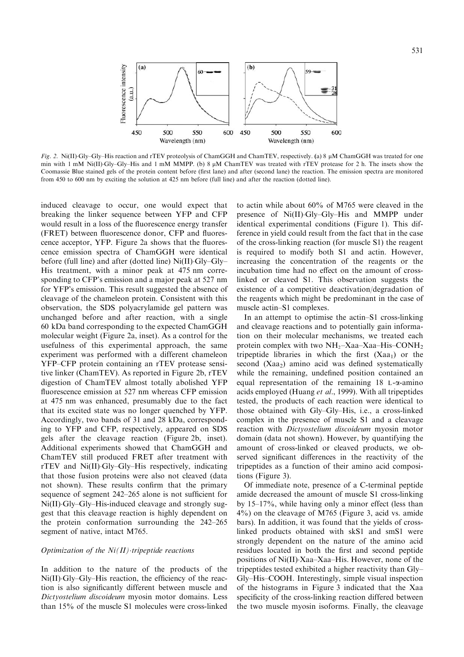

Fig. 2. Ni(II) Gly–Gly–His reaction and rTEV proteolysis of ChamGGH and ChamTEV, respectively. (a) 8  $\mu$ M ChamGGH was treated for one min with  $1 \text{ mM Ni(II)}$ -Gly–His and  $1 \text{ mM MMPP}$ . (b)  $8 \mu \text{M ChamTEV}$  was treated with rTEV protease for  $2 \text{ h}$ . The insets show the Coomassie Blue stained gels of the protein content before (first lane) and after (second lane) the reaction. The emission spectra are monitored from 450 to 600 nm by exciting the solution at 425 nm before (full line) and after the reaction (dotted line).

induced cleavage to occur, one would expect that breaking the linker sequence between YFP and CFP would result in a loss of the fluorescence energy transfer (FRET) between fluorescence donor, CFP and fluorescence acceptor, YFP. Figure 2a shows that the fluorescence emission spectra of ChamGGH were identical before (full line) and after (dotted line)  $Ni(II)$  $Gly-Gly$ His treatment, with a minor peak at 475 nm corresponding to CFP's emission and a major peak at 527 nm for YFP's emission. This result suggested the absence of cleavage of the chameleon protein. Consistent with this observation, the SDS polyacrylamide gel pattern was unchanged before and after reaction, with a single 60 kDa band corresponding to the expected ChamGGH molecular weight (Figure 2a, inset). As a control for the usefulness of this experimental approach, the same experiment was performed with a different chameleon YFP–CFP protein containing an rTEV protease sensitive linker (ChamTEV). As reported in Figure 2b, rTEV digestion of ChamTEV almost totally abolished YFP fluorescence emission at 527 nm whereas CFP emission at 475 nm was enhanced, presumably due to the fact that its excited state was no longer quenched by YFP. Accordingly, two bands of 31 and 28 kDa, corresponding to YFP and CFP, respectively, appeared on SDS gels after the cleavage reaction (Figure 2b, inset). Additional experiments showed that ChamGGH and ChamTEV still produced FRET after treatment with rTEV and  $Ni(II)$ ·Gly–Gly–His respectively, indicating that those fusion proteins were also not cleaved (data not shown). These results confirm that the primary sequence of segment 242–265 alone is not sufficient for  $Ni(II)$  Gly–Gly–His-induced cleavage and strongly suggest that this cleavage reaction is highly dependent on the protein conformation surrounding the 242–265 segment of native, intact M765.

# Optimization of the  $Ni(II)$  tripeptide reactions

In addition to the nature of the products of the  $Ni(II)$  $·$ Gly–Gly–His reaction, the efficiency of the reaction is also significantly different between muscle and Dictyostelium discoideum myosin motor domains. Less than 15% of the muscle S1 molecules were cross-linked to actin while about 60% of M765 were cleaved in the presence of Ni(II)·Gly–Gly–His and MMPP under identical experimental conditions (Figure 1). This difference in yield could result from the fact that in the case of the cross-linking reaction (for muscle S1) the reagent is required to modify both S1 and actin. However, increasing the concentration of the reagents or the incubation time had no effect on the amount of crosslinked or cleaved S1. This observation suggests the existence of a competitive deactivation/degradation of the reagents which might be predominant in the case of muscle actin–S1 complexes.

In an attempt to optimise the actin–S1 cross-linking and cleavage reactions and to potentially gain information on their molecular mechanisms, we treated each protein complex with two  $NH_2$ -Xaa-Xaa-His-CONH<sub>2</sub> tripeptide libraries in which the first  $(Xaa<sub>1</sub>)$  or the second  $(Xaa<sub>2</sub>)$  amino acid was defined systematically while the remaining, undefined position contained an equal representation of the remaining  $18$  L- $\alpha$ -amino acids employed (Huang et al., 1999). With all tripeptides tested, the products of each reaction were identical to those obtained with Gly–Gly–His, i.e., a cross-linked complex in the presence of muscle S1 and a cleavage reaction with Dictyostelium discoideum myosin motor domain (data not shown). However, by quantifying the amount of cross-linked or cleaved products, we observed significant differences in the reactivity of the tripeptides as a function of their amino acid compositions (Figure 3).

Of immediate note, presence of a C-terminal peptide amide decreased the amount of muscle S1 cross-linking by 15–17%, while having only a minor effect (less than 4%) on the cleavage of M765 (Figure 3, acid vs. amide bars). In addition, it was found that the yields of crosslinked products obtained with skS1 and smS1 were strongly dependent on the nature of the amino acid residues located in both the first and second peptide positions of Ni(II)·Xaa–Xaa–His. However, none of the tripeptides tested exhibited a higher reactivity than Gly– Gly–His–COOH. Interestingly, simple visual inspection of the histograms in Figure 3 indicated that the Xaa specificity of the cross-linking reaction differed between the two muscle myosin isoforms. Finally, the cleavage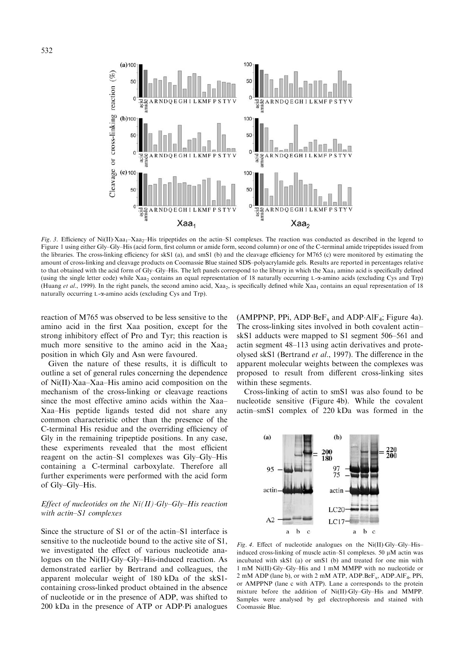

Fig. 3. Efficiency of Ni(II) Xaa<sub>1</sub>–Xaa<sub>2</sub>–His tripeptides on the actin–S1 complexes. The reaction was conducted as described in the legend to Figure 1 using either Gly–Gly–His (acid form, first column or amide form, second column) or one of the C-terminal amide tripeptides issued from the libraries. The cross-linking efficiency for skS1 (a), and smS1 (b) and the cleavage efficiency for M765 (c) were monitored by estimating the amount of cross-linking and cleavage products on Coomassie Blue stained SDS–polyacrylamide gels. Results are reported in percentages relative to that obtained with the acid form of Gly–Gly–His. The left panels correspond to the library in which the Xaa<sub>1</sub> amino acid is specifically defined (using the single letter code) while Xaa<sub>2</sub> contains an equal representation of 18 naturally occurring L- $\alpha$ -amino acids (excluding Cys and Trp) (Huang et al., 1999). In the right panels, the second amino acid, Xaa<sub>2</sub>, is specifically defined while Xaa<sub>1</sub> contains an equal representation of 18 naturally occurring L- $\alpha$ -amino acids (excluding Cys and Trp).

reaction of M765 was observed to be less sensitive to the amino acid in the first Xaa position, except for the strong inhibitory effect of Pro and Tyr; this reaction is much more sensitive to the amino acid in the  $Xaa<sub>2</sub>$ position in which Gly and Asn were favoured.

Given the nature of these results, it is difficult to outline a set of general rules concerning the dependence of Ni(II)Xaa–Xaa–His amino acid composition on the mechanism of the cross-linking or cleavage reactions since the most effective amino acids within the Xaa– Xaa–His peptide ligands tested did not share any common characteristic other than the presence of the C-terminal His residue and the overriding efficiency of Gly in the remaining tripeptide positions. In any case, these experiments revealed that the most efficient reagent on the actin–S1 complexes was Gly–Gly–His containing a C-terminal carboxylate. Therefore all further experiments were performed with the acid form of Gly–Gly–His.

# Effect of nucleotides on the  $Ni(II)$  $·$ Gly-Gly-His reaction with actin–S1 complexes

Since the structure of S1 or of the actin–S1 interface is sensitive to the nucleotide bound to the active site of S1, we investigated the effect of various nucleotide analogues on the  $Ni(II)$ ·Gly–Gly–His-induced reaction. As demonstrated earlier by Bertrand and colleagues, the apparent molecular weight of 180 kDa of the skS1 containing cross-linked product obtained in the absence of nucleotide or in the presence of ADP, was shifted to 200 kDa in the presence of ATP or ADP Pi analogues (AMPPNP, PPi, ADP $B \cdot B \in F_x$  and ADP $A \cdot A \cdot F_x$ ; Figure 4a). The cross-linking sites involved in both covalent actin– skS1 adducts were mapped to S1 segment 506–561 and actin segment 48–113 using actin derivatives and proteolysed skS1 (Bertrand et al., 1997). The difference in the apparent molecular weights between the complexes was proposed to result from different cross-linking sites within these segments.

Cross-linking of actin to smS1 was also found to be nucleotide sensitive (Figure 4b). While the covalent actin–smS1 complex of 220 kDa was formed in the



Fig. 4. Effect of nucleotide analogues on the Ni(II) Gly–Gly–His– induced cross-linking of muscle actin–S1 complexes. 50  $\mu$ M actin was incubated with skS1 (a) or smS1 (b) and treated for one min with 1 mM Ni(II)Gly–Gly–His and 1 mM MMPP with no nucleotide or 2 mM ADP (lane b), or with 2 mM ATP, ADP.Be $F_x$ , ADP.Al $F_4$ , PPi, or AMPPNP (lane c with ATP). Lane a corresponds to the protein mixture before the addition of Ni(II)·Gly-Gly-His and MMPP. Samples were analysed by gel electrophoresis and stained with Coomassie Blue.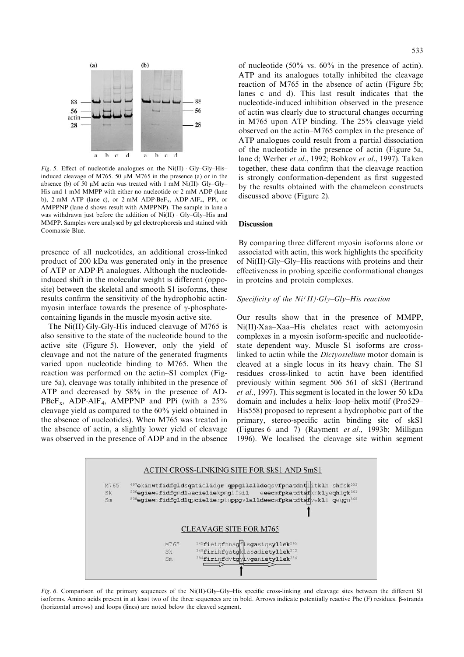

Fig. 5. Effect of nucleotide analogues on the  $Ni(II) \cdot Gly-Gly-His$ induced cleavage of M765. 50  $\mu$ M M765 in the presence (a) or in the absence (b) of 50  $\mu$ M actin was treated with 1 mM Ni(II) Gly–Gly– His and 1 mM MMPP with either no nucleotide or 2 mM ADP (lane b), 2 mM ATP (lane c), or 2 mM ADP Be $F_x$ , ADP AlF<sub>4</sub>, PPi, or AMPPNP (lane d shows result with AMPPNP). The sample in lane a was withdrawn just before the addition of  $Ni(II) \cdot Gly-Gly-His$  and MMPP. Samples were analysed by gel electrophoresis and stained with Coomassie Blue.

presence of all nucleotides, an additional cross-linked product of 200 kDa was generated only in the presence of ATP or ADP Pi analogues. Although the nucleotideinduced shift in the molecular weight is different (opposite) between the skeletal and smooth S1 isoforms, these results confirm the sensitivity of the hydrophobic actinmyosin interface towards the presence of  $\gamma$ -phosphatecontaining ligands in the muscle myosin active site.

The  $Ni(II)$  Gly-Gly-His induced cleavage of M765 is also sensitive to the state of the nucleotide bound to the active site (Figure 5). However, only the yield of cleavage and not the nature of the generated fragments varied upon nucleotide binding to M765. When the reaction was performed on the actin–S1 complex (Figure 5a), cleavage was totally inhibited in the presence of ATP and decreased by 58% in the presence of AD-PBe $F_x$ , ADP·AlF<sub>4</sub>, AMPPNP and PPi (with a 25% cleavage yield as compared to the 60% yield obtained in the absence of nucleotides). When M765 was treated in the absence of actin, a slightly lower yield of cleavage was observed in the presence of ADP and in the absence

of nucleotide (50% vs. 60% in the presence of actin). ATP and its analogues totally inhibited the cleavage reaction of M765 in the absence of actin (Figure 5b; lanes c and d). This last result indicates that the nucleotide-induced inhibition observed in the presence of actin was clearly due to structural changes occurring in M765 upon ATP binding. The 25% cleavage yield observed on the actin–M765 complex in the presence of ATP analogues could result from a partial dissociation of the nucleotide in the presence of actin (Figure 5a, lane d; Werber et al., 1992; Bobkov et al., 1997). Taken together, these data confirm that the cleavage reaction is strongly conformation-dependent as first suggested by the results obtained with the chameleon constructs discussed above (Figure 2).

#### Discussion

By comparing three different myosin isoforms alone or associated with actin, this work highlights the specificity of  $Ni(II)$  $Gly-Gly-His$  reactions with proteins and their effectiveness in probing specific conformational changes in proteins and protein complexes.

## Specificity of the  $Ni(II)$  Gly–Gly–His reaction

Our results show that in the presence of MMPP, Ni(II)·Xaa–Xaa–His chelates react with actomyosin complexes in a myosin isoform-specific and nucleotidestate dependent way. Muscle S1 isoforms are crosslinked to actin while the Dictyostelium motor domain is cleaved at a single locus in its heavy chain. The S1 residues cross-linked to actin have been identified previously within segment 506–561 of skS1 (Bertrand et al., 1997). This segment is located in the lower 50 kDa domain and includes a helix–loop–helix motif (Pro529– His558) proposed to represent a hydrophobic part of the primary, stereo-specific actin binding site of skS1 (Figures 6 and 7) (Rayment et al., 1993b; Milligan 1996). We localised the cleavage site within segment



Fig. 6. Comparison of the primary sequences of the Ni(II)-Gly–Gly–His specific cross-linking and cleavage sites between the different S1 isoforms. Amino acids present in at least two of the three sequences are in bold. Arrows indicate potentially reactive Phe (F) residues. b-strands (horizontal arrows) and loops (lines) are noted below the cleaved segment.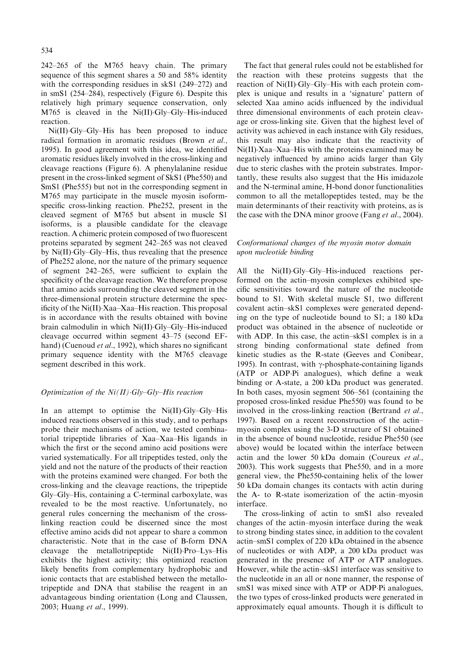242–265 of the M765 heavy chain. The primary sequence of this segment shares a 50 and 58% identity with the corresponding residues in skS1 (249–272) and in smS1 (254–284), respectively (Figure 6). Despite this relatively high primary sequence conservation, only  $M765$  is cleaved in the Ni(II) $-Gly-Gly-His-induced$ reaction.

Ni(II)·Gly–Gly–His has been proposed to induce radical formation in aromatic residues (Brown et al., 1995). In good agreement with this idea, we identified aromatic residues likely involved in the cross-linking and cleavage reactions (Figure 6). A phenylalanine residue present in the cross-linked segment of SkS1 (Phe550) and SmS1 (Phe555) but not in the corresponding segment in M765 may participate in the muscle myosin isoformspecific cross-linking reaction. Phe252, present in the cleaved segment of M765 but absent in muscle S1 isoforms, is a plausible candidate for the cleavage reaction. A chimeric protein composed of two fluorescent proteins separated by segment 242–265 was not cleaved by  $Ni(II)$  $-Gly$ - $HiS$ , thus revealing that the presence of Phe252 alone, nor the nature of the primary sequence of segment 242–265, were sufficient to explain the specificity of the cleavage reaction. We therefore propose that amino acids surrounding the cleaved segment in the three-dimensional protein structure determine the specificity of the  $Ni(II) \cdot Xaa-Xaa-H$  reaction. This proposal is in accordance with the results obtained with bovine brain calmodulin in which  $Ni(II)$ ·Gly–Gly–His-induced cleavage occurred within segment 43–75 (second EFhand) (Cuenoud et al., 1992), which shares no significant primary sequence identity with the M765 cleavage segment described in this work.

#### Optimization of the  $Ni(II)$ ·Gly-Gly-His reaction

In an attempt to optimise the  $Ni(II)$  Gly–Gly–His induced reactions observed in this study, and to perhaps probe their mechanisms of action, we tested combinatorial tripeptide libraries of Xaa–Xaa–His ligands in which the first or the second amino acid positions were varied systematically. For all tripeptides tested, only the yield and not the nature of the products of their reaction with the proteins examined were changed. For both the cross-linking and the cleavage reactions, the tripeptide Gly–Gly–His, containing a C-terminal carboxylate, was revealed to be the most reactive. Unfortunately, no general rules concerning the mechanism of the crosslinking reaction could be discerned since the most effective amino acids did not appear to share a common characteristic. Note that in the case of B-form DNA cleavage the metallotripeptide  $Ni(II)$ -Pro–Lys–His exhibits the highest activity; this optimized reaction likely benefits from complementary hydrophobic and ionic contacts that are established between the metallotripeptide and DNA that stabilise the reagent in an advantageous binding orientation (Long and Claussen, 2003; Huang et al., 1999).

The fact that general rules could not be established for the reaction with these proteins suggests that the reaction of  $Ni(II)$ ·Gly–Gly–His with each protein complex is unique and results in a 'signature' pattern of selected Xaa amino acids influenced by the individual three dimensional environments of each protein cleavage or cross-linking site. Given that the highest level of activity was achieved in each instance with Gly residues, this result may also indicate that the reactivity of Ni(II)·Xaa–Xaa–His with the proteins examined may be negatively influenced by amino acids larger than Gly due to steric clashes with the protein substrates. Importantly, these results also suggest that the His imidazole and the N-terminal amine, H-bond donor functionalities common to all the metallopeptides tested, may be the main determinants of their reactivity with proteins, as is the case with the DNA minor groove (Fang *et al.*, 2004).

# Conformational changes of the myosin motor domain upon nucleotide binding

All the  $Ni(II)$ -Gly–His-induced reactions performed on the actin–myosin complexes exhibited specific sensitivities toward the nature of the nucleotide bound to S1. With skeletal muscle S1, two different covalent actin–skS1 complexes were generated depending on the type of nucleotide bound to S1; a 180 kDa product was obtained in the absence of nucleotide or with ADP. In this case, the actin–skS1 complex is in a strong binding conformational state defined from kinetic studies as the R-state (Geeves and Conibear, 1995). In contrast, with  $\gamma$ -phosphate-containing ligands (ATP or ADP-Pi analogues), which define a weak binding or A-state, a 200 kDa product was generated. In both cases, myosin segment 506–561 (containing the proposed cross-linked residue Phe550) was found to be involved in the cross-linking reaction (Bertrand *et al.*, 1997). Based on a recent reconstruction of the actin– myosin complex using the 3-D structure of S1 obtained in the absence of bound nucleotide, residue Phe550 (see above) would be located within the interface between actin and the lower 50 kDa domain (Coureux et al., 2003). This work suggests that Phe550, and in a more general view, the Phe550-containing helix of the lower 50 kDa domain changes its contacts with actin during the A- to R-state isomerization of the actin–myosin interface.

The cross-linking of actin to smS1 also revealed changes of the actin–myosin interface during the weak to strong binding states since, in addition to the covalent actin–smS1 complex of 220 kDa obtained in the absence of nucleotides or with ADP, a 200 kDa product was generated in the presence of ATP or ATP analogues. However, while the actin–skS1 interface was sensitive to the nucleotide in an all or none manner, the response of smS1 was mixed since with ATP or ADP-Pi analogues, the two types of cross-linked products were generated in approximately equal amounts. Though it is difficult to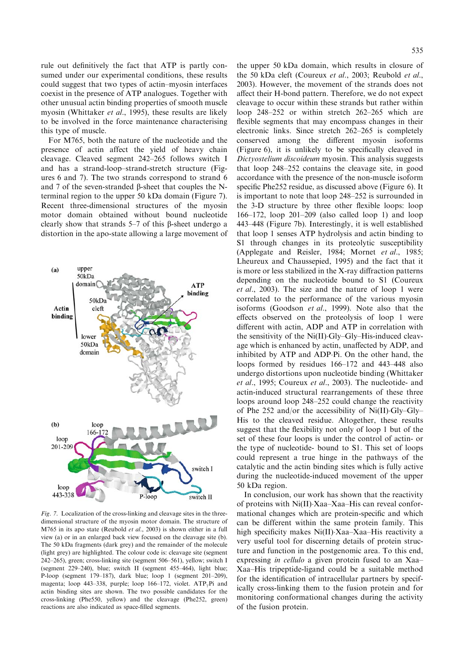rule out definitively the fact that ATP is partly consumed under our experimental conditions, these results could suggest that two types of actin–myosin interfaces coexist in the presence of ATP analogues. Together with other unusual actin binding properties of smooth muscle myosin (Whittaker et al., 1995), these results are likely to be involved in the force maintenance characterising this type of muscle.

For M765, both the nature of the nucleotide and the presence of actin affect the yield of heavy chain cleavage. Cleaved segment 242–265 follows switch I and has a strand-loop–strand-stretch structure (Figures 6 and 7). The two strands correspond to strand 6 and 7 of the seven-stranded  $\beta$ -sheet that couples the Nterminal region to the upper 50 kDa domain (Figure 7). Recent three-dimensional structures of the myosin motor domain obtained without bound nucleotide clearly show that strands  $5-7$  of this  $\beta$ -sheet undergo a distortion in the apo-state allowing a large movement of



Fig. 7. Localization of the cross-linking and cleavage sites in the threedimensional structure of the myosin motor domain. The structure of M765 in its apo state (Reubold et al., 2003) is shown either in a full view (a) or in an enlarged back view focused on the cleavage site (b). The 50 kDa fragments (dark grey) and the remainder of the molecule (light grey) are highlighted. The colour code is: cleavage site (segment 242–265), green; cross-linking site (segment 506–561), yellow; switch I (segment 229–240), blue; switch II (segment 455–464), light blue; P-loop (segment 179–187), dark blue; loop 1 (segment 201–209), magenta; loop 443–338, purple; loop 166–172, violet.  $ATP_{\gamma}$ Pi and actin binding sites are shown. The two possible candidates for the cross-linking (Phe550, yellow) and the cleavage (Phe252, green) reactions are also indicated as space-filled segments.

the upper 50 kDa domain, which results in closure of the 50 kDa cleft (Coureux et al., 2003; Reubold et al., 2003). However, the movement of the strands does not affect their H-bond pattern. Therefore, we do not expect cleavage to occur within these strands but rather within loop 248–252 or within stretch 262–265 which are flexible segments that may encompass changes in their electronic links. Since stretch 262–265 is completely conserved among the different myosin isoforms (Figure 6), it is unlikely to be specifically cleaved in Dictyostelium discoideum myosin. This analysis suggests that loop 248–252 contains the cleavage site, in good accordance with the presence of the non-muscle isoform specific Phe252 residue, as discussed above (Figure 6). It is important to note that loop 248–252 is surrounded in the 3-D structure by three other flexible loops: loop 166–172, loop 201–209 (also called loop 1) and loop 443–448 (Figure 7b). Interestingly, it is well established that loop 1 senses ATP hydrolysis and actin binding to S1 through changes in its proteolytic susceptibility (Applegate and Reisler, 1984; Mornet et al., 1985; Lheureux and Chaussepied, 1995) and the fact that it is more or less stabilized in the X-ray diffraction patterns depending on the nucleotide bound to S1 (Coureux et al., 2003). The size and the nature of loop 1 were correlated to the performance of the various myosin isoforms (Goodson et al., 1999). Note also that the effects observed on the proteolysis of loop 1 were different with actin, ADP and ATP in correlation with the sensitivity of the  $Ni(II)$  $·$ Gly–Gly–His-induced cleavage which is enhanced by actin, unaffected by ADP, and inhibited by ATP and ADP Pi. On the other hand, the loops formed by residues 166–172 and 443–448 also undergo distortions upon nucleotide binding (Whittaker et al., 1995; Coureux et al., 2003). The nucleotide- and actin-induced structural rearrangements of these three loops around loop 248–252 could change the reactivity of Phe 252 and/or the accessibility of Ni(II) $-Gly-Gly$ His to the cleaved residue. Altogether, these results suggest that the flexibility not only of loop 1 but of the set of these four loops is under the control of actin- or the type of nucleotide- bound to S1. This set of loops could represent a true hinge in the pathways of the catalytic and the actin binding sites which is fully active during the nucleotide-induced movement of the upper 50 kDa region.

In conclusion, our work has shown that the reactivity of proteins with  $Ni(II) \cdot X$ aa–Xaa–His can reveal conformational changes which are protein-specific and which can be different within the same protein family. This high specificity makes  $Ni(II) \cdot Xaa-Xaa-Hi$ s reactivity a very useful tool for discerning details of protein structure and function in the postgenomic area. To this end, expressing *in cellulo* a given protein fused to an Xaa– Xaa–His tripeptide-ligand could be a suitable method for the identification of intracellular partners by specifically cross-linking them to the fusion protein and for monitoring conformational changes during the activity of the fusion protein.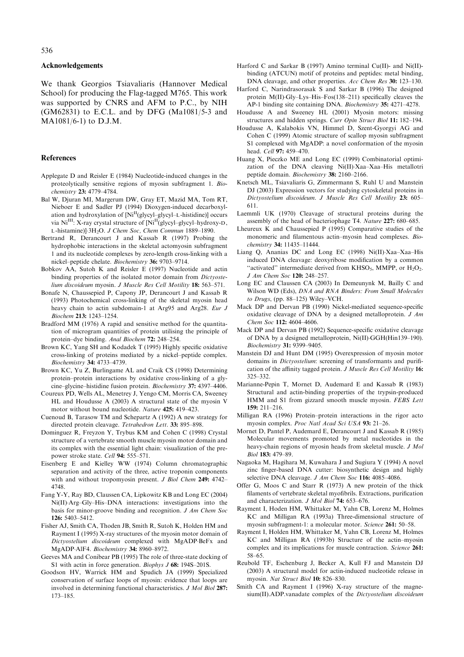## Acknowledgements

We thank Georgios Tsiavaliaris (Hannover Medical School) for producing the Flag-tagged M765. This work was supported by CNRS and AFM to P.C., by NIH (GM62831) to E.C.L. and by DFG (Ma1081/5-3 and MA1081/6-1) to D.J.M.

### References

- Applegate D and Reisler E (1984) Nucleotide-induced changes in the proteolytically sensitive regions of myosin subfragment 1. Biochemistry 23: 4779–4784.
- Bal W, Djuran MI, Margerum DW, Gray ET, Mazid MA, Tom RT, Nieboer E and Sadler PJ (1994) Dioxygen-induced decarboxylation and hydroxylation of  $[Ni^{II}(glycyl–glycyl–L-histidine)]$  occurs via Ni<sup>III</sup>: X-ray crystal structure of [Ni<sup>II</sup>(glycyl–glycyl–hydroxy-D, L-histamine)] $3H<sub>2</sub>O$ . J Chem Soc, Chem Commun 1889-1890.
- Bertrand R, Derancourt J and Kassab R (1997) Probing the hydrophobic interactions in the skeletal actomyosin subfragment 1 and its nucleotide complexes by zero-length cross-linking with a nickel–peptide chelate. Biochemistry 36: 9703–9714.
- Bobkov AA, Sutoh K and Reisler E (1997) Nucleotide and actin binding properties of the isolated motor domain from Dictyostelium discoideum myosin. J Muscle Res Cell Motility 18: 563–571.
- Bonafe N, Chaussepied P, Capony JP, Derancourt J and Kassab R (1993) Photochemical cross-linking of the skeletal myosin head heavy chain to actin subdomain-1 at Arg95 and Arg28. Eur J Biochem 213: 1243–1254.
- Bradford MM (1976) A rapid and sensitive method for the quantitation of microgram quantities of protein utilising the principle of protein–dye binding. Anal Biochem 72: 248–254.
- Brown KC, Yang SH and Kodadek T (1995) Highly specific oxidative cross-linking of proteins mediated by a nickel–peptide complex. Biochemistry 34: 4733–4739.
- Brown KC, Yu Z, Burlingame AL and Craik CS (1998) Determining protein–protein interactions by oxidative cross-linking of a glycine–glycine–histidine fusion protein. Biochemistry 37: 4397–4406.
- Coureux PD, Wells AL, Menetrey J, Yengo CM, Morris CA, Sweeney HL and Houdusse A (2003) A structural state of the myosin V motor without bound nucleotide. Nature 425: 419–423.
- Cuenoud B, Tarasow TM and Schepartz A (1992) A new strategy for directed protein cleavage. Tetrahedron Lett. 33: 895–898.
- Dominguez R, Freyzon Y, Trybus KM and Cohen C (1998) Crystal structure of a vertebrate smooth muscle myosin motor domain and its complex with the essential light chain: visualization of the prepower stroke state. Cell 94: 555–571.
- Eisenberg E and Kielley WW (1974) Column chromatographic separation and activity of the three, active troponin components with and without tropomyosin present. J Biol Chem 249: 4742-4748.
- Fang Y-Y, Ray BD, Claussen CA, Lipkowitz KB and Long EC (2004) Ni(II)Arg–Gly–His–DNA interactions: investigations into the basis for minor-groove binding and recognition. *J Am Chem Soc* 126: 5403–5412.
- Fisher AJ, Smith CA, Thoden JB, Smith R, Sutoh K, Holden HM and Rayment I (1995) X-ray structures of the myosin motor domain of Dictyostelium discoideum complexed with MgADP-BeFx and MgADP-AlF4. Biochemistry 34: 8960-8972.
- Geeves MA and Conibear PB (1995) The role of three-state docking of S1 with actin in force generation. Biophys J 68: 194S–201S.
- Goodson HV, Warrick HM and Spudich JA (1999) Specialized conservation of surface loops of myosin: evidence that loops are involved in determining functional characteristics. J Mol Biol 287: 173–185.
- Harford C and Sarkar B (1997) Amino terminal Cu(II)- and Ni(II) binding (ATCUN) motif of proteins and peptides: metal binding, DNA cleavage, and other properties. Acc Chem Res 30: 123-130.
- Harford C, Narindrasorasak S and Sarkar B (1996) The designed protein M(II)·Gly-Lys-His-Fos(138-211) specifically cleaves the AP-1 binding site containing DNA. Biochemistry 35: 4271–4278.
- Houdusse A and Sweeney HL (2001) Myosin motors: missing structures and hidden springs. Curr Opin Struct Biol 11: 182–194.
- Houdusse A, Kalabokis VN, Himmel D, Szent-Gyorgyi AG and Cohen C (1999) Atomic structure of scallop myosin subfragment S1 complexed with MgADP: a novel conformation of the myosin head. Cell 97: 459–470.
- Huang X, Pieczko ME and Long EC (1999) Combinatorial optimization of the DNA cleaving  $Ni(II)$ ·Xaa-Xaa-His metallotri peptide domain. Biochemistry 38: 2160–2166.
- Knetsch ML, Tsiavaliaris G, Zimmermann S, Ruhl U and Manstein DJ (2003) Expression vectors for studying cytoskeletal proteins in Dictyostelium discoideum. J Muscle Res Cell Motility 23: 605– 611.
- Laemmli UK (1970) Cleavage of structural proteins during the assembly of the head of bacteriophage T4. Nature 227: 680–685.
- Lheureux K and Chaussepied P (1995) Comparative studies of the monomeric and filamentous actin–myosin head complexes. Biochemistry 34: 11435–11444.
- Liang Q, Ananias DC and Long EC (1998) Ni(II) Xaa-Xaa-His induced DNA cleavage: deoxyribose modification by a common "activated" intermediate derived from KHSO<sub>5</sub>, MMPP, or  $H_2O_2$ . J Am Chem Soc 120: 248–257.
- Long EC and Claussen CA (2003) In Demeunynk M, Bailly C and Wilson WD (Eds), DNA and RNA Binders: From Small Molecules to Drugs, (pp. 88-125) Wiley-VCH.
- Mack DP and Dervan PB (1990) Nickel-mediated sequence-specific oxidative cleavage of DNA by a designed metalloprotein. J Am Chem Soc 112: 4604–4606.
- Mack DP and Dervan PB (1992) Sequence-specific oxidative cleavage of DNA by a designed metalloprotein, Ni(II)·GGH(Hin139-190). Biochemistry 31: 9399–9405.
- Manstein DJ and Hunt DM (1995) Overexpression of myosin motor domains in *Dictyostelium*: screening of transformants and purification of the affinity tagged protein. J Muscle Res Cell Motility 16: 325–332.
- Marianne-Pepin T, Mornet D, Audemard E and Kassab R (1983) Structural and actin-binding properties of the trypsin-produced HMM and S1 from gizzard smooth muscle myosin. FEBS Lett 159: 211–216.
- Milligan RA (1996) Protein–protein interactions in the rigor acto myosin complex. Proc Natl Acad Sci USA 93: 21–26.
- Mornet D, Pantel P, Audemard E, Derancourt J and Kassab R (1985) Molecular movements promoted by metal nucleotides in the heavy-chain regions of myosin heads from skeletal muscle. J Mol Biol 183: 479–89.
- Nagaoka M, Hagihara M, Kuwahara J and Sugiura Y (1994) A novel zinc finger-based DNA cutter: biosynthetic design and highly selective DNA cleavage. *J Am Chem Soc* 116: 4085-4086.
- Offer G, Moos C and Starr R (1973) A new protein of the thick filaments of vertebrate skeletal myofibrils. Extractions, purification and characterization. J Mol Biol 74: 653–676.
- Rayment I, Hoden HM, Whittaker M, Yahn CB, Lorenz M, Holmes KC and Milligan RA (1993a) Three-dimensional structure of myosin subfragment-1: a molecular motor. Science 261: 50–58.
- Rayment I, Holden HM, Whittaker M, Yahn CB, Lorenz M, Holmes KC and Milligan RA (1993b) Structure of the actin–myosin complex and its implications for muscle contraction. Science 261: 58–65.
- Reubold TF, Eschenburg J, Becker A, Kull FJ and Manstein DJ (2003) A structural model for actin-induced nucleotide release in myosin. Nat Struct Biol 10: 826–830.
- Smith CA and Rayment I (1996) X-ray structure of the magnesium(II).ADP.vanadate complex of the Dictyostelium discoideum